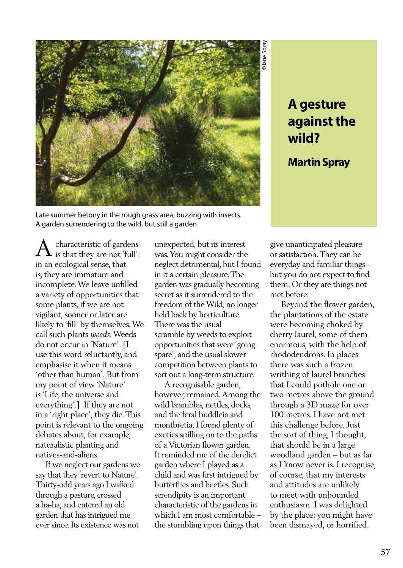

# **A gesture against the wild?**

**Martin Spray**

Late summer betony in the rough grass area, buzzing with insects. A garden surrendering to the wild, but still a garden

characteristic of gardens  ${\rm A}$  characteristic of gardens is that they are not 'full': in an ecological sense, that is, they are immature and incomplete. We leave unfilled a variety of opportunities that some plants, if we are not vigilant, sooner or later are likely to 'fill' by themselves. We call such plants *weeds.* Weeds do not occur in 'Nature'. [I use this word reluctantly, and emphasise it when it means 'other than human'. But from my point of view 'Nature' is 'Life, the universe and everything'.] If they are not in a 'right place', they die. This point is relevant to the ongoing debates about, for example, naturalistic planting and natives-and-aliens.

 If we neglect our gardens we say that they 'revert to Nature'. Thirty-odd years ago I walked through a pasture, crossed a ha-ha, and entered an old garden that has intrigued me ever since. Its existence was not

unexpected, but its interest was. You might consider the neglect detrimental, but I found in it a certain pleasure. The garden was gradually becoming secret as it surrendered to the freedom of the Wild, no longer held back by horticulture. There was the usual scramble by weeds to exploit opportunities that were 'going spare', and the usual slower competition between plants to sort out a long-term structure.

 A recognisable garden, however, remained. Among the wild brambles, nettles, docks, and the feral buddleia and montbretia, I found plenty of exotics spilling on to the paths of a Victorian flower garden. It reminded me of the derelict garden where I played as a child and was first intrigued by butterflies and beetles. Such serendipity is an important characteristic of the gardens in which I am most comfortable – the stumbling upon things that

give unanticipated pleasure or satisfaction. They can be everyday and familiar things – but you do not expect to find them. Or they are things not met before.

 Beyond the flower garden, the plantations of the estate were becoming choked by cherry laurel, some of them enormous, with the help of rhododendrons. In places there was such a frozen writhing of laurel branches that I could pothole one or two metres above the ground through a 3D maze for over 100 metres. I have not met this challenge before. Just the sort of thing, I thought, that should be in a large woodland garden – but as far as I know never is. I recognise, of course, that my interests and attitudes are unlikely to meet with unbounded enthusiasm. I was delighted by the place; you might have been dismayed, or horrified.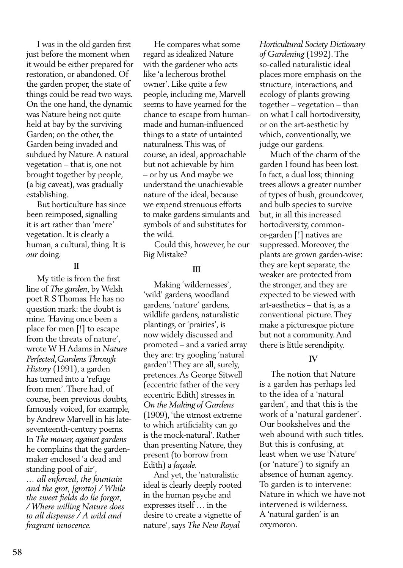I was in the old garden first just before the moment when it would be either prepared for restoration, or abandoned. Of the garden proper, the state of things could be read two ways. On the one hand, the dynamic was Nature being not quite held at bay by the surviving Garden; on the other, the Garden being invaded and subdued by Nature. A natural vegetation – that is, one not brought together by people, (a big caveat), was gradually establishing.

 But horticulture has since been reimposed, signalling it is art rather than 'mere' vegetation. It is clearly a human, a cultural, thing. It is *our* doing.

## **III**

 My title is from the first line of *The garden*, by Welsh poet R S Thomas. He has no question mark: the doubt is mine. 'Having once been a place for men [!] to escape from the threats of nature', wrote W H Adams in *Nature Perfected,Gardens Through History* (1991), a garden has turned into a 'refuge from men'. There had, of course, been previous doubts, famously voiced, for example, by Andrew Marvell in his lateseventeenth-century poems. In *The mower, against gardens* he complains that the gardenmaker enclosed 'a dead and standing pool of air', *… all enforced, the fountain and the grot, [grotto] / While the sweet fields do lie forgot, / Where willing Nature does to all dispense / A wild and fragrant innocence.* 

 He compares what some regard as idealized Nature with the gardener who acts like 'a lecherous brothel owner'. Like quite a few people, including me, Marvell seems to have yearned for the chance to escape from humanmade and human-influenced things to a state of untainted naturalness. This was, of course, an ideal, approachable but not achievable by him – or by us. And maybe we understand the unachievable nature of the ideal, because we expend strenuous efforts to make gardens simulants and symbols of and substitutes for the wild.

 Could this, however, be our Big Mistake?

### **III**

 Making 'wildernesses', 'wild' gardens, woodland gardens, 'nature' gardens, wildlife gardens, naturalistic plantings, or 'prairies', is now widely discussed and promoted – and a varied array they are: try googling 'natural garden'! They are all, surely, pretences. As George Sitwell (eccentric father of the very eccentric Edith) stresses in *On the Making of Gardens*  (1909), 'the utmost extreme to which artificiality can go is the mock-natural'. Rather than presenting Nature, they present (to borrow from Edith) a *façade.*

 And yet, the 'naturalistic ideal is clearly deeply rooted in the human psyche and expresses itself … in the desire to create a vignette of nature', says *The New Royal* 

*Horticultural Society Dictionary of Gardening* (1992). The so-called naturalistic ideal places more emphasis on the structure, interactions, and ecology of plants growing together – vegetation – than on what I call hortodiversity, or on the art-aesthetic by which, conventionally, we judge our gardens.

 Much of the charm of the garden I found has been lost. In fact, a dual loss; thinning trees allows a greater number of types of bush, groundcover, and bulb species to survive but, in all this increased hortodiversity, commonor-garden [!] natives are suppressed. Moreover, the plants are grown garden-wise: they are kept separate, the weaker are protected from the stronger, and they are expected to be viewed with art-aesthetics – that is, as a conventional picture. They make a picturesque picture but not a community. And there is little serendipity.

### **IV**

 The notion that Nature is a garden has perhaps led to the idea of a 'natural garden', and that this is the work of a 'natural gardener'. Our bookshelves and the web abound with such titles. But this is confusing, at least when we use 'Nature' (or 'nature') to signify an absence of human agency. To garden is to intervene: Nature in which we have not intervened is wilderness. A 'natural garden' is an oxymoron.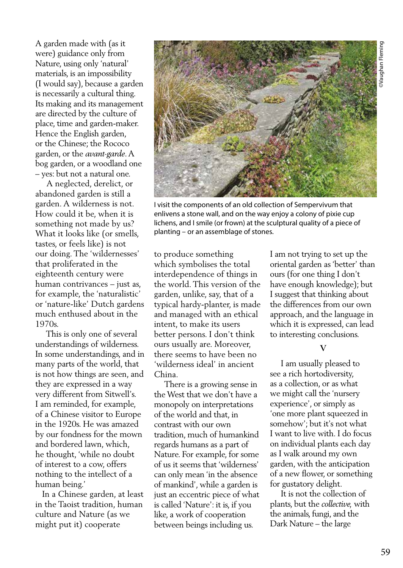A garden made with (as it were) guidance only from Nature, using only 'natural' materials, is an impossibility (I would say), because a garden is necessarily a cultural thing. Its making and its management are directed by the culture of place, time and garden-maker. Hence the English garden, or the Chinese; the Rococo garden, or the *avant-garde*. A bog garden, or a woodland one – yes: but not a natural one.

 A neglected, derelict, or abandoned garden is still a garden. A wilderness is not. How could it be, when it is something not made by us? What it looks like (or smells, tastes, or feels like) is not our doing. The 'wildernesses' that proliferated in the eighteenth century were human contrivances – just as, for example, the 'naturalistic' or 'nature-like' Dutch gardens much enthused about in the 1970s.

 This is only one of several understandings of wilderness. In some understandings, and in many parts of the world, that is not how things are seen, and they are expressed in a way very different from Sitwell's. I am reminded, for example, of a Chinese visitor to Europe in the 1920s. He was amazed by our fondness for the mown and bordered lawn, which, he thought, 'while no doubt of interest to a cow, offers nothing to the intellect of a human being.'

 In a Chinese garden, at least in the Taoist tradition, human culture and Nature (as we might put it) cooperate

to produce something which symbolises the total interdependence of things in the world. This version of the garden, unlike, say, that of a typical hardy-planter, is made and managed with an ethical intent, to make its users better persons. I don't think ours usually are. Moreover, there seems to have been no planting – or an assemblage of stones.

China. There is a growing sense in the West that we don't have a monopoly on interpretations of the world and that, in contrast with our own tradition, much of humankind regards humans as a part of Nature. For example, for some of us it seems that 'wilderness' can only mean 'in the absence of mankind', while a garden is just an eccentric piece of what is called 'Nature': it is, if you like, a work of cooperation between beings including us.

'wilderness ideal' in ancient

I am not trying to set up the oriental garden as 'better' than ours (for one thing I don't have enough knowledge); but I suggest that thinking about the differences from our own approach, and the language in which it is expressed, can lead to interesting conclusions.

#### **V**

 I am usually pleased to see a rich hortodiversity, as a collection, or as what we might call the 'nursery experience', or simply as 'one more plant squeezed in somehow'; but it's not what I want to live with. I do focus on individual plants each day as I walk around my own garden, with the anticipation of a new flower, or something for gustatory delight.

 It is not the collection of plants, but the *collective,* with the animals, fungi, and the Dark Nature – the large

I visit the components of an old collection of Sempervivum that enlivens a stone wall, and on the way enjoy a colony of pixie cup lichens, and I smile (or frown) at the sculptural quality of a piece of